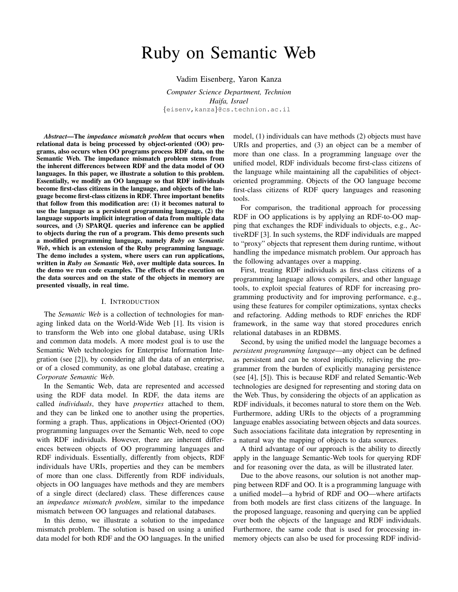# Ruby on Semantic Web

## Vadim Eisenberg, Yaron Kanza

*Computer Science Department, Technion Haifa, Israel* {eisenv,kanza}@cs.technion.ac.il

*Abstract*—The *impedance mismatch problem* that occurs when relational data is being processed by object-oriented (OO) programs, also occurs when OO programs process RDF data, on the Semantic Web. The impedance mismatch problem stems from the inherent differences between RDF and the data model of OO languages. In this paper, we illustrate a solution to this problem. Essentially, we modify an OO language so that RDF individuals become first-class citizens in the language, and objects of the language become first-class citizens in RDF. Three important benefits that follow from this modification are: (1) it becomes natural to use the language as a persistent programming language, (2) the language supports implicit integration of data from multiple data sources, and (3) SPARQL queries and inference can be applied to objects during the run of a program. This demo presents such a modified programming language, namely *Ruby on Semantic Web*, which is an extension of the Ruby programming language. The demo includes a system, where users can run applications, written in *Ruby on Semantic Web*, over multiple data sources. In the demo we run code examples. The effects of the execution on the data sources and on the state of the objects in memory are presented visually, in real time.

#### I. INTRODUCTION

The *Semantic Web* is a collection of technologies for managing linked data on the World-Wide Web [1]. Its vision is to transform the Web into one global database, using URIs and common data models. A more modest goal is to use the Semantic Web technologies for Enterprise Information Integration (see [2]), by considering all the data of an enterprise, or of a closed community, as one global database, creating a *Corporate Semantic Web*.

In the Semantic Web, data are represented and accessed using the RDF data model. In RDF, the data items are called *individuals*, they have *properties* attached to them, and they can be linked one to another using the properties, forming a graph. Thus, applications in Object-Oriented (OO) programming languages over the Semantic Web, need to cope with RDF individuals. However, there are inherent differences between objects of OO programming languages and RDF individuals. Essentially, differently from objects, RDF individuals have URIs, properties and they can be members of more than one class. Differently from RDF individuals, objects in OO languages have methods and they are members of a single direct (declared) class. These differences cause an *impedance mismatch problem*, similar to the impedance mismatch between OO languages and relational databases.

In this demo, we illustrate a solution to the impedance mismatch problem. The solution is based on using a unified data model for both RDF and the OO languages. In the unified model, (1) individuals can have methods (2) objects must have URIs and properties, and (3) an object can be a member of more than one class. In a programming language over the unified model, RDF individuals become first-class citizens of the language while maintaining all the capabilities of objectoriented programming. Objects of the OO language become first-class citizens of RDF query languages and reasoning tools.

For comparison, the traditional approach for processing RDF in OO applications is by applying an RDF-to-OO mapping that exchanges the RDF individuals to objects, e.g., ActiveRDF [3]. In such systems, the RDF individuals are mapped to "proxy" objects that represent them during runtime, without handling the impedance mismatch problem. Our approach has the following advantages over a mapping.

First, treating RDF individuals as first-class citizens of a programming language allows compilers, and other language tools, to exploit special features of RDF for increasing programming productivity and for improving performance, e.g., using these features for compiler optimizations, syntax checks and refactoring. Adding methods to RDF enriches the RDF framework, in the same way that stored procedures enrich relational databases in an RDBMS.

Second, by using the unified model the language becomes a *persistent programming language*—any object can be defined as persistent and can be stored implicitly, relieving the programmer from the burden of explicitly managing persistence (see [4], [5]). This is because RDF and related Semantic-Web technologies are designed for representing and storing data on the Web. Thus, by considering the objects of an application as RDF individuals, it becomes natural to store them on the Web. Furthermore, adding URIs to the objects of a programming language enables associating between objects and data sources. Such associations facilitate data integration by representing in a natural way the mapping of objects to data sources.

A third advantage of our approach is the ability to directly apply in the language Semantic-Web tools for querying RDF and for reasoning over the data, as will be illustrated later.

Due to the above reasons, our solution is not another mapping between RDF and OO. It is a programming language with a unified model—a hybrid of RDF and OO—where artifacts from both models are first class citizens of the language. In the proposed language, reasoning and querying can be applied over both the objects of the language and RDF individuals. Furthermore, the same code that is used for processing inmemory objects can also be used for processing RDF individ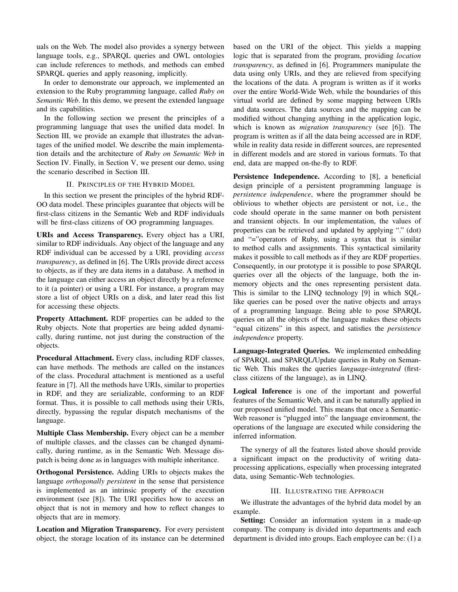uals on the Web. The model also provides a synergy between language tools, e.g., SPARQL queries and OWL ontologies can include references to methods, and methods can embed SPARQL queries and apply reasoning, implicitly.

In order to demonstrate our approach, we implemented an extension to the Ruby programming language, called *Ruby on Semantic Web*. In this demo, we present the extended language and its capabilities.

In the following section we present the principles of a programming language that uses the unified data model. In Section III, we provide an example that illustrates the advantages of the unified model. We describe the main implementation details and the architecture of *Ruby on Semantic Web* in Section IV. Finally, in Section V, we present our demo, using the scenario described in Section III.

II. PRINCIPLES OF THE HYBRID MODEL

In this section we present the principles of the hybrid RDF-OO data model. These principles guarantee that objects will be first-class citizens in the Semantic Web and RDF individuals will be first-class citizens of OO programming languages.

URIs and Access Transparency. Every object has a URI, similar to RDF individuals. Any object of the language and any RDF individual can be accessed by a URI, providing *access transparency*, as defined in [6]. The URIs provide direct access to objects, as if they are data items in a database. A method in the language can either access an object directly by a reference to it (a pointer) or using a URI. For instance, a program may store a list of object URIs on a disk, and later read this list for accessing these objects.

Property Attachment. RDF properties can be added to the Ruby objects. Note that properties are being added dynamically, during runtime, not just during the construction of the objects.

Procedural Attachment. Every class, including RDF classes, can have methods. The methods are called on the instances of the class. Procedural attachment is mentioned as a useful feature in [7]. All the methods have URIs, similar to properties in RDF, and they are serializable, conforming to an RDF format. Thus, it is possible to call methods using their URIs, directly, bypassing the regular dispatch mechanisms of the language.

Multiple Class Membership. Every object can be a member of multiple classes, and the classes can be changed dynamically, during runtime, as in the Semantic Web. Message dispatch is being done as in languages with multiple inheritance.

Orthogonal Persistence. Adding URIs to objects makes the language *orthogonally persistent* in the sense that persistence is implemented as an intrinsic property of the execution environment (see [8]). The URI specifies how to access an object that is not in memory and how to reflect changes to objects that are in memory.

Location and Migration Transparency. For every persistent object, the storage location of its instance can be determined

based on the URI of the object. This yields a mapping logic that is separated from the program, providing *location transparency*, as defined in [6]. Programmers manipulate the data using only URIs, and they are relieved from specifying the locations of the data. A program is written as if it works over the entire World-Wide Web, while the boundaries of this virtual world are defined by some mapping between URIs and data sources. The data sources and the mapping can be modified without changing anything in the application logic, which is known as *migration transparency* (see [6]). The program is written as if all the data being accessed are in RDF, while in reality data reside in different sources, are represented in different models and are stored in various formats. To that end, data are mapped on-the-fly to RDF.

Persistence Independence. According to [8], a beneficial design principle of a persistent programming language is *persistence independence*, where the programmer should be oblivious to whether objects are persistent or not, i.e., the code should operate in the same manner on both persistent and transient objects. In our implementation, the values of properties can be retrieved and updated by applying "." (dot) and "="operators of Ruby, using a syntax that is similar to method calls and assignments. This syntactical similarity makes it possible to call methods as if they are RDF properties. Consequently, in our prototype it is possible to pose SPARQL queries over all the objects of the language, both the inmemory objects and the ones representing persistent data. This is similar to the LINQ technology [9] in which SQLlike queries can be posed over the native objects and arrays of a programming language. Being able to pose SPARQL queries on all the objects of the language makes these objects "equal citizens" in this aspect, and satisfies the *persistence independence* property.

Language-Integrated Queries. We implemented embedding of SPARQL and SPARQL/Update queries in Ruby on Semantic Web. This makes the queries *language-integrated* (firstclass citizens of the language), as in LINQ.

Logical Inference is one of the important and powerful features of the Semantic Web, and it can be naturally applied in our proposed unified model. This means that once a Semantic-Web reasoner is "plugged into" the language environment, the operations of the language are executed while considering the inferred information.

The synergy of all the features listed above should provide a significant impact on the productivity of writing dataprocessing applications, especially when processing integrated data, using Semantic-Web technologies.

## III. ILLUSTRATING THE APPROACH

We illustrate the advantages of the hybrid data model by an example.

Setting: Consider an information system in a made-up company. The company is divided into departments and each department is divided into groups. Each employee can be: (1) a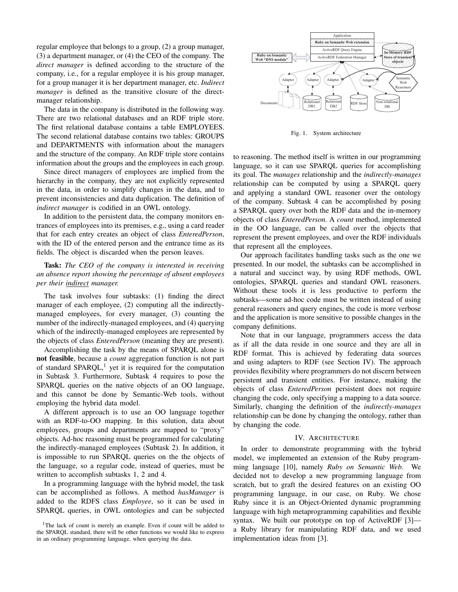regular employee that belongs to a group, (2) a group manager, (3) a department manager, or (4) the CEO of the company. The *direct manager* is defined according to the structure of the company, i.e., for a regular employee it is his group manager, for a group manager it is her department manager, etc. *Indirect manager* is defined as the transitive closure of the directmanager relationship.

The data in the company is distributed in the following way. There are two relational databases and an RDF triple store. The first relational database contains a table EMPLOYEES. The second relational database contains two tables: GROUPS and DEPARTMENTS with information about the managers and the structure of the company. An RDF triple store contains information about the groups and the employees in each group.

Since direct managers of employees are implied from the hierarchy in the company, they are not explicitly represented in the data, in order to simplify changes in the data, and to prevent inconsistencies and data duplication. The definition of *indirect manager* is codified in an OWL ontology.

In addition to the persistent data, the company monitors entrances of employees into its premises, e.g., using a card reader that for each entry creates an object of class *EnteredPerson*, with the ID of the entered person and the entrance time as its fields. The object is discarded when the person leaves.

Task: *The CEO of the company is interested in receiving an absence report showing the percentage of absent employees per their indirect manager.*

The task involves four subtasks: (1) finding the direct manager of each employee, (2) computing all the indirectlymanaged employees, for every manager, (3) counting the number of the indirectly-managed employees, and (4) querying which of the indirectly-managed employees are represented by the objects of class *EnteredPerson* (meaning they are present).

Accomplishing the task by the means of SPARQL alone is not feasible, because a *count* aggregation function is not part of standard SPARQL,<sup>1</sup> yet it is required for the computation in Subtask 3. Furthermore, Subtask 4 requires to pose the SPARQL queries on the native objects of an OO language, and this cannot be done by Semantic-Web tools, without employing the hybrid data model.

A different approach is to use an OO language together with an RDF-to-OO mapping. In this solution, data about employees, groups and departments are mapped to "proxy" objects. Ad-hoc reasoning must be programmed for calculating the indirectly-managed employees (Subtask 2). In addition, it is impossible to run SPARQL queries on the the objects of the language, so a regular code, instead of queries, must be written to accomplish subtasks 1, 2 and 4.

In a programming language with the hybrid model, the task can be accomplished as follows. A method *hasManager* is added to the RDFS class *Employee*, so it can be used in SPARQL queries, in OWL ontologies and can be subjected



Fig. 1. System architecture

to reasoning. The method itself is written in our programming language, so it can use SPARQL queries for accomplishing its goal. The *manages* relationship and the *indirectly-manages* relationship can be computed by using a SPARQL query and applying a standard OWL reasoner over the ontology of the company. Subtask 4 can be accomplished by posing a SPARQL query over both the RDF data and the in-memory objects of class *EnteredPerson*. A *count* method, implemented in the OO language, can be called over the objects that represent the present employees, and over the RDF individuals that represent all the employees.

Our approach facilitates handling tasks such as the one we presented. In our model, the subtasks can be accomplished in a natural and succinct way, by using RDF methods, OWL ontologies, SPARQL queries and standard OWL reasoners. Without these tools it is less productive to perform the subtasks—some ad-hoc code must be written instead of using general reasoners and query engines, the code is more verbose and the application is more sensitive to possible changes in the company definitions.

Note that in our language, programmers access the data as if all the data reside in one source and they are all in RDF format. This is achieved by federating data sources and using adapters to RDF (see Section IV). The approach provides flexibility where programmers do not discern between persistent and transient entities. For instance, making the objects of class *EnteredPerson* persistent does not require changing the code, only specifying a mapping to a data source. Similarly, changing the definition of the *indirectly-manages* relationship can be done by changing the ontology, rather than by changing the code.

#### IV. ARCHITECTURE

In order to demonstrate programming with the hybrid model, we implemented an extension of the Ruby programming language [10], namely *Ruby on Semantic Web*. We decided not to develop a new programming language from scratch, but to graft the desired features on an existing OO programming language, in our case, on Ruby. We chose Ruby since it is an Object-Oriented dynamic programming language with high metaprogramming capabilities and flexible syntax. We built our prototype on top of ActiveRDF [3] a Ruby library for manipulating RDF data, and we used implementation ideas from [3].

<sup>&</sup>lt;sup>1</sup>The lack of count is merely an example. Even if count will be added to the SPARQL standard, there will be other functions we would like to express in an ordinary programming language, when querying the data.